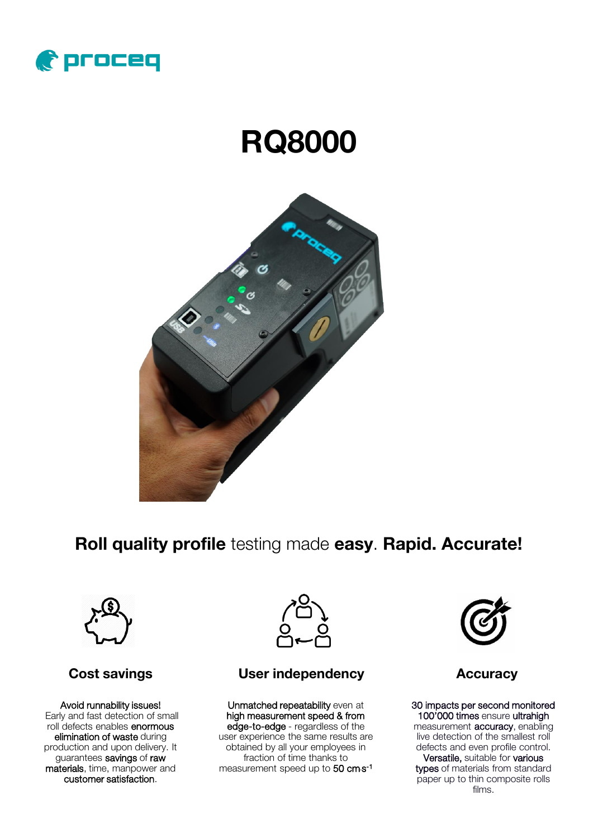

# RQ8000



Roll quality profile testing made easy. Rapid. Accurate!



### Cost savings

Avoid runnability issues! Early and fast detection of small roll defects enables enormous elimination of waste during production and upon delivery. It guarantees savings of raw materials, time, manpower and customer satisfaction.



#### User independency **Accuracy**

Unmatched repeatability even at high measurement speed & from edge-to-edge - regardless of the user experience the same results are obtained by all your employees in fraction of time thanks to measurement speed up to 50 cm**·**s -1



30 impacts per second monitored 100'000 times ensure ultrahigh measurement **accuracy**, enabling live detection of the smallest roll defects and even profile control. Versatile, suitable for various types of materials from standard paper up to thin composite rolls films.